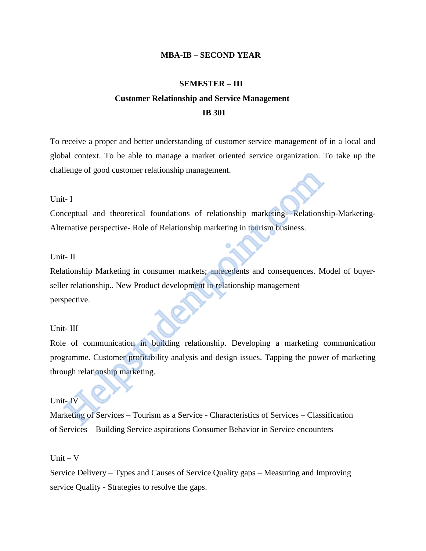# **MBA-IB – SECOND YEAR**

# **SEMESTER – III**

# **Customer Relationship and Service Management IB 301**

To receive a proper and better understanding of customer service management of in a local and global context. To be able to manage a market oriented service organization. To take up the challenge of good customer relationship management.

## Unit- I

Conceptual and theoretical foundations of relationship marketing- Relationship-Marketing-Alternative perspective- Role of Relationship marketing in tourism business.

# Unit- II

Relationship Marketing in consumer markets; antecedents and consequences. Model of buyerseller relationship.. New Product development in relationship management perspective. Example of good customer relationship management.<br>
Helpstudent and theoretical foundations of relationship marketing-Relations<br>
Francive perspective-Role of Relationship marketing in tourism business.<br>
Helpstudent in Consu

### Unit- III

Role of communication in building relationship. Developing a marketing communication programme. Customer profitability analysis and design issues. Tapping the power of marketing through relationship marketing.

# Unit- IV

Marketing of Services – Tourism as a Service - Characteristics of Services – Classification of Services – Building Service aspirations Consumer Behavior in Service encounters

#### $Unit - V$

Service Delivery – Types and Causes of Service Quality gaps – Measuring and Improving service Quality - Strategies to resolve the gaps.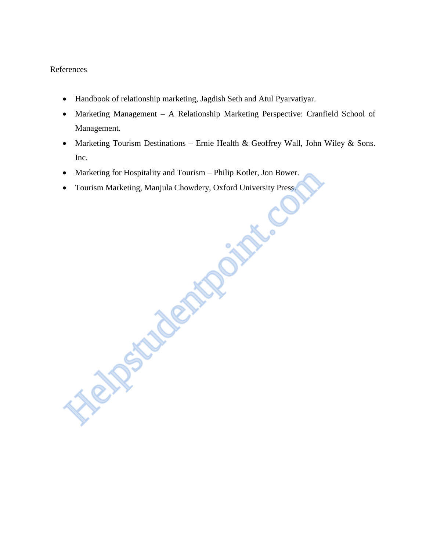# References

- Handbook of relationship marketing, Jagdish Seth and Atul Pyarvatiyar.
- Marketing Management A Relationship Marketing Perspective: Cranfield School of Management.
- Marketing Tourism Destinations Ernie Health & Geoffrey Wall, John Wiley & Sons. Inc.
- Marketing for Hospitality and Tourism Philip Kotler, Jon Bower.
- Tourism Marketing, Manjula Chowdery, Oxford University Press. Marketing for Hospitality and Tourism – Philip Kotler, Jon Bower.<br>
Tourism Marketing, Manjula Chowdery, Oxford University Press.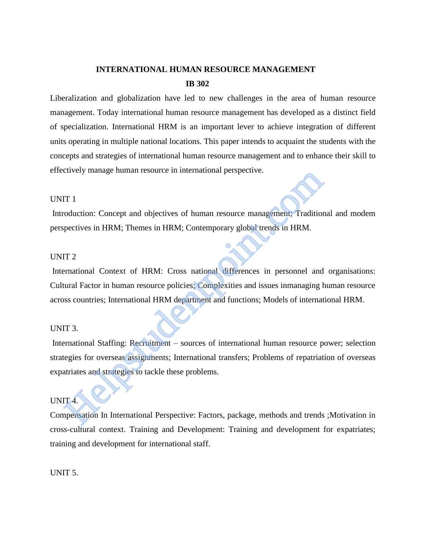# **INTERNATIONAL HUMAN RESOURCE MANAGEMENT IB 302**

Liberalization and globalization have led to new challenges in the area of human resource management. Today international human resource management has developed as a distinct field of specialization. International HRM is an important lever to achieve integration of different units operating in multiple national locations. This paper intends to acquaint the students with the concepts and strategies of international human resource management and to enhance their skill to effectively manage human resource in international perspective.

# UNIT 1

Introduction: Concept and objectives of human resource management; Traditional and modem perspectives in HRM; Themes in HRM; Contemporary global trends in HRM.

# UNIT 2

International Context of HRM: Cross national differences in personnel and organisations: Cultural Factor in human resource policies; Complexities and issues inmanaging human resource across countries; International HRM department and functions; Models of international HRM.

# UNIT 3.

International Staffing: Recruitment – sources of international human resource power; selection strategies for overseas assignments; International transfers; Problems of repatriation of overseas expatriates and strategies to tackle these problems. Exercity manage numan resource in international perspective.<br>
Helpstudent: Concept and objectives of human resource management; Tradition<br>
pectives in HRM; Themes in HRM; Contemporary global trends in HRM.<br>
HERM: The manne

# UNIT 4.

Compensation In International Perspective: Factors, package, methods and trends ;Motivation in cross-cultural context. Training and Development: Training and development for expatriates; training and development for international staff.

## UNIT 5.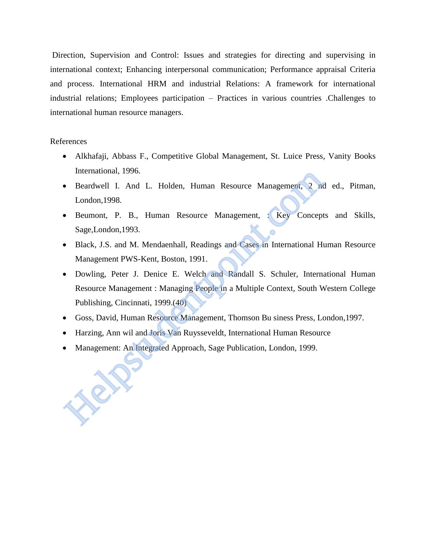Direction, Supervision and Control: Issues and strategies for directing and supervising in international context; Enhancing interpersonal communication; Performance appraisal Criteria and process. International HRM and industrial Relations: A framework for international industrial relations; Employees participation – Practices in various countries .Challenges to international human resource managers.

# References

- Alkhafaji, Abbass F., Competitive Global Management, St. Luice Press, Vanity Books International, 1996.
- Beardwell I. And L. Holden, Human Resource Management, 2 nd ed., Pitman, London,1998.
- Beumont, P. B., Human Resource Management, : Key Concepts and Skills, Sage,London,1993.
- Black, J.S. and M. Mendaenhall, Readings and Cases in International Human Resource Management PWS-Kent, Boston, 1991.
- Dowling, Peter J. Denice E. Welch and Randall S. Schuler, International Human Resource Management : Managing People in a Multiple Context, South Western College Publishing, Cincinnati, 1999.(40) mernational, 1990.<br>
• Beardwell 1. And L. Holden, Human Resource Management, 2 nd<br>
1. And L. Holden, Human Resource Management, : Key Concept<br>
Sage,London, 1993.<br>
• Black, J.S. and M. Mendaenhall, Readings and Cases in Int
- Goss, David, Human Resource Management, Thomson Bu siness Press, London,1997.
- Harzing, Ann wil and Joris Van Ruysseveldt, International Human Resource
- Management: An Integrated Approach, Sage Publication, London, 1999.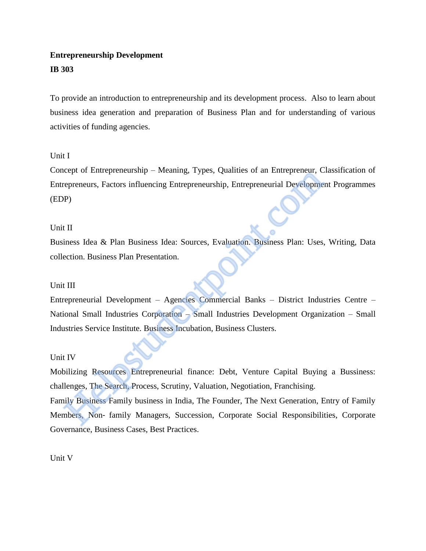# **Entrepreneurship Development IB 303**

To provide an introduction to entrepreneurship and its development process. Also to learn about business idea generation and preparation of Business Plan and for understanding of various activities of funding agencies.

# Unit I

Concept of Entrepreneurship – Meaning, Types, Qualities of an Entrepreneur, Classification of Entrepreneurs, Factors influencing Entrepreneurship, Entrepreneurial Development Programmes (EDP)

# Unit II

Business Idea & Plan Business Idea: Sources, Evaluation. Business Plan: Uses, Writing, Data collection. Business Plan Presentation.

# Unit III

Entrepreneurial Development – Agencies Commercial Banks – District Industries Centre – National Small Industries Corporation – Small Industries Development Organization – Small Industries Service Institute. Business Incubation, Business Clusters. cept of Entrepreneurship – wiealing, 1 ypes, Quanties of an Entrepreneurs, Compare (1, Compare Preneurs, Factors influencing Entrepreneurship, Entrepreneurial Developme<br>P)<br>Thinses Idea & Plan Business Idea: Sources, Evalua

# Unit IV

Mobilizing Resources Entrepreneurial finance: Debt, Venture Capital Buying a Bussiness: challenges, The Search, Process, Scrutiny, Valuation, Negotiation, Franchising.

Family Business Family business in India, The Founder, The Next Generation, Entry of Family Members, Non‐ family Managers, Succession, Corporate Social Responsibilities, Corporate Governance, Business Cases, Best Practices.

Unit V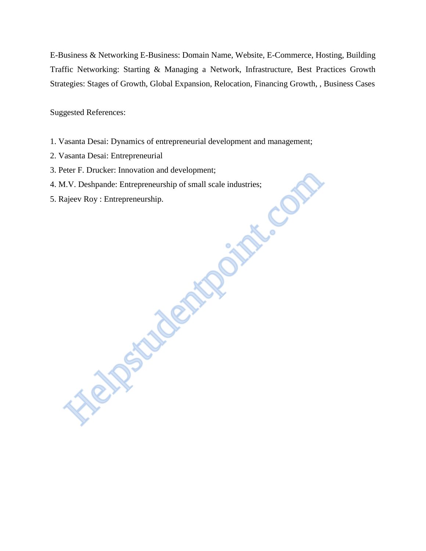E-Business & Networking E-Business: Domain Name, Website, E-Commerce, Hosting, Building Traffic Networking: Starting & Managing a Network, Infrastructure, Best Practices Growth Strategies: Stages of Growth, Global Expansion, Relocation, Financing Growth, , Business Cases

Suggested References:

- 1. Vasanta Desai: Dynamics of entrepreneurial development and management;
- 2. Vasanta Desai: Entrepreneurial
- 3. Peter F. Drucker: Innovation and development;
- 4. M.V. Deshpande: Entrepreneurship of small scale industries; The Coler P. Duckel. Information and development,<br>T.V. Deshpande: Entrepreneurship.<br>ajeev Roy : Entrepreneurship.<br>Company of the Coler P. Development.<br>Company of the Coler P. Development.<br>Company of the Coler P. Developmen
- 5. Rajeev Roy : Entrepreneurship.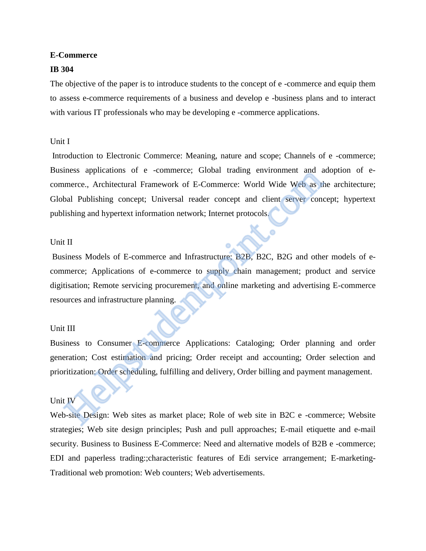### **E-Commerce**

## **IB 304**

The objective of the paper is to introduce students to the concept of e -commerce and equip them to assess e-commerce requirements of a business and develop e -business plans and to interact with various IT professionals who may be developing e-commerce applications.

# Unit I

Introduction to Electronic Commerce: Meaning, nature and scope; Channels of e -commerce; Business applications of e -commerce; Global trading environment and adoption of ecommerce., Architectural Framework of E-Commerce: World Wide Web as the architecture; Global Publishing concept; Universal reader concept and client server concept; hypertext publishing and hypertext information network; Internet protocols.

### Unit II

Business Models of E-commerce and Infrastructure; B2B, B2C, B2G and other models of ecommerce; Applications of e-commerce to supply chain management; product and service digitisation; Remote servicing procurement, and online marketing and advertising E-commerce resources and infrastructure planning. merce, Architectural Framework of E-Commerce, Guodar uatung environment and a<br>merce, Architectural Framework of E-Commerce: World Wide Web as the<br>all Publishing concept; Universal reader concept and client server cond<br>ishi

# Unit III

Business to Consumer E-commerce Applications: Cataloging; Order planning and order generation; Cost estimation and pricing; Order receipt and accounting; Order selection and prioritization: Order scheduling, fulfilling and delivery, Order billing and payment management.

# Unit IV

Web-site Design: Web sites as market place; Role of web site in B2C e -commerce; Website strategies; Web site design principles; Push and pull approaches; E-mail etiquette and e-mail security. Business to Business E-Commerce: Need and alternative models of B2B e -commerce; EDI and paperless trading:;characteristic features of Edi service arrangement; E-marketing-Traditional web promotion: Web counters; Web advertisements.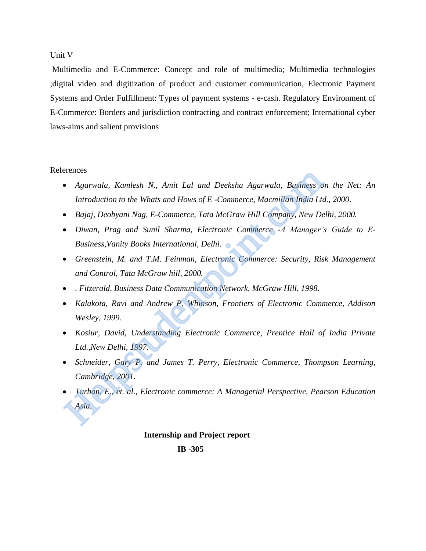# Unit V

Multimedia and E-Commerce: Concept and role of multimedia; Multimedia technologies ;digital video and digitization of product and customer communication, Electronic Payment Systems and Order Fulfillment: Types of payment systems - e-cash. Regulatory Environment of E-Commerce: Borders and jurisdiction contracting and contract enforcement; International cyber laws-aims and salient provisions

# References

- *Agarwala, Kamlesh N., Amit Lal and Deeksha Agarwala, Business on the Net: An Introduction to the Whats and Hows of E -Commerce, Macmillan India Ltd., 2000.*
- *Bajaj, Deobyani Nag, E-Commerce, Tata McGraw Hill Company, New Delhi, 2000.*
- *Diwan, Prag and Sunil Sharma, Electronic Commerce -A Manager's Guide to E-Business,Vanity Books International, Delhi.*
- *Greenstein, M. and T.M. Feinman, Electronic Commerce: Security, Risk Management and Control, Tata McGraw hill, 2000.*
- *. Fitzerald, Business Data Communication Network, McGraw Hill, 1998.*
- *Kalakota, Ravi and Andrew P. Whinson, Frontiers of Electronic Commerce, Addison Wesley, 1999.*
- *Kosiur, David, Understanding Electronic Commerce, Prentice Hall of India Private Ltd.,New Delhi, 1997.*
- *Schneider, Gary P. and James T. Perry, Electronic Commerce, Thompson Learning, Cambridge, 2001.*
- *Turban, E., et. al., Electronic commerce: A Managerial Perspective, Pearson Education Asia.* Anarolace Mannesh N., Amit Lal and Deeksha Agarwala, Business of Introduction to the Whats and Hows of E-Commerce, Macmillan India Lto<br>
• Bajaj, Deobyani Nag, E-Commerce, Tata McGraw Hill Company, New De<br>
• Diwan, Prag and

# **Internship and Project report**

 **IB -305**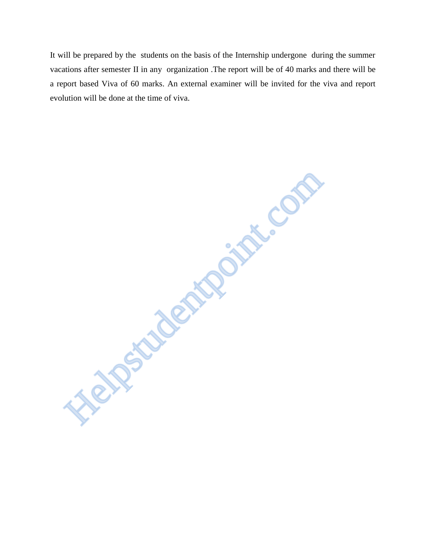It will be prepared by the students on the basis of the Internship undergone during the summer vacations after semester II in any organization .The report will be of 40 marks and there will be a report based Viva of 60 marks. An external examiner will be invited for the viva and report evolution will be done at the time of viva.

Helpstudentpoint.com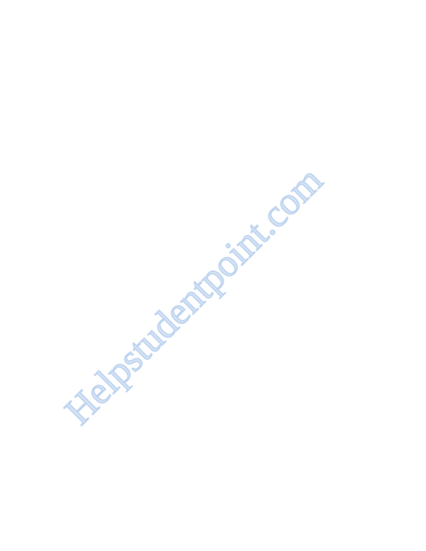Heilestudentpoint.com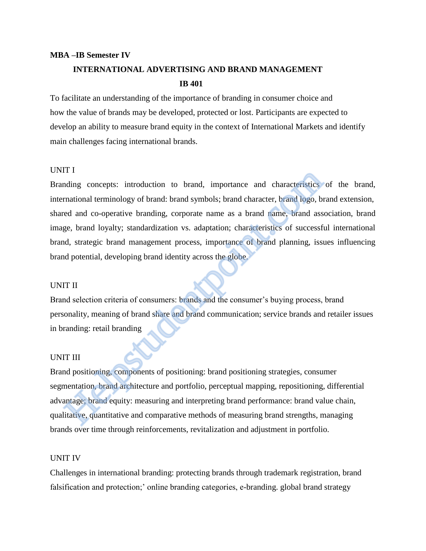# **MBA –IB Semester IV INTERNATIONAL ADVERTISING AND BRAND MANAGEMENT IB 401**

To facilitate an understanding of the importance of branding in consumer choice and how the value of brands may be developed, protected or lost. Participants are expected to develop an ability to measure brand equity in the context of International Markets and identify main challenges facing international brands.

# UNIT I

Branding concepts: introduction to brand, importance and characteristics of the brand, international terminology of brand: brand symbols; brand character, brand logo, brand extension, shared and co-operative branding, corporate name as a brand name, brand association, brand image, brand loyalty; standardization vs. adaptation; characteristics of successful international brand, strategic brand management process, importance of brand planning, issues influencing brand potential, developing brand identity across the globe. THE and concepts: introduction to brand, importance and characteristics mational terminology of brand: brand symbols; brand character, brand logo, bind and co-operative branding, corporate name as a brand name, brand assge

### UNIT II

Brand selection criteria of consumers: brands and the consumer's buying process, brand personality, meaning of brand share and brand communication; service brands and retailer issues in branding: retail branding

# UNIT III

Brand positioning, components of positioning: brand positioning strategies, consumer segmentation, brand architecture and portfolio, perceptual mapping, repositioning, differential advantage; brand equity: measuring and interpreting brand performance: brand value chain, qualitative, quantitative and comparative methods of measuring brand strengths, managing brands over time through reinforcements, revitalization and adjustment in portfolio.

### UNIT IV

Challenges in international branding: protecting brands through trademark registration, brand falsification and protection;' online branding categories, e-branding. global brand strategy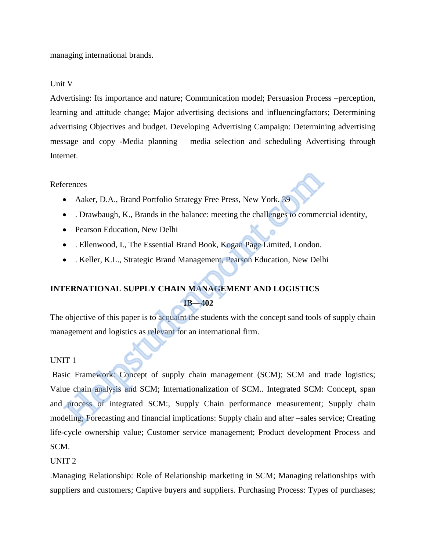managing international brands.

# Unit V

Advertising: Its importance and nature; Communication model; Persuasion Process –perception, learning and attitude change; Major advertising decisions and influencingfactors; Determining advertising Objectives and budget. Developing Advertising Campaign: Determining advertising message and copy -Media planning – media selection and scheduling Advertising through Internet.

# References

- Aaker, D.A., Brand Portfolio Strategy Free Press, New York. 39
- . Drawbaugh, K., Brands in the balance: meeting the challenges to commercial identity,
- Pearson Education, New Delhi
- . Ellenwood, I., The Essential Brand Book, Kogan Page Limited, London.
- . Keller, K.L., Strategic Brand Management, Pearson Education, New Delhi

# **INTERNATIONAL SUPPLY CHAIN MANAGEMENT AND LOGISTICS**

# **IB—402**

The objective of this paper is to acquaint the students with the concept sand tools of supply chain management and logistics as relevant for an international firm.

# UNIT 1

Basic Framework: Concept of supply chain management (SCM); SCM and trade logistics; Value chain analysis and SCM; Internationalization of SCM.. Integrated SCM: Concept, span and process of integrated SCM:, Supply Chain performance measurement; Supply chain modeling; Forecasting and financial implications: Supply chain and after –sales service; Creating life-cycle ownership value; Customer service management; Product development Process and SCM. • Aaker, D.A., Brand Portfolio Strategy Free Press, New York. 39<br>• Drawbaugh, K., Brands in the balance: meeting the challenges to commer<br>• Pearson Education, New Delhi<br>• Ellenwood, I., The Essential Brand Book, Kogan Page

# UNIT 2

.Managing Relationship: Role of Relationship marketing in SCM; Managing relationships with suppliers and customers; Captive buyers and suppliers. Purchasing Process: Types of purchases;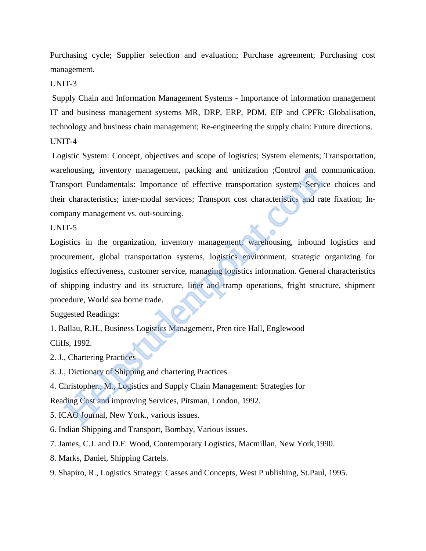Purchasing cycle; Supplier selection and evaluation; Purchase agreement; Purchasing cost management.

# UNIT-3

Supply Chain and Information Management Systems - Importance of information management IT and business management systems MR, DRP, ERP, PDM, EIP and CPFR: Globalisation, technology and business chain management; Re-engineering the supply chain: Future directions. UNIT-4

Logistic System: Concept, objectives and scope of logistics; System elements; Transportation, warehousing, inventory management, packing and unitization ;Control and communication. Transport Fundamentals: Importance of effective transportation system; Service choices and their characteristics; inter-modal services; Transport cost characteristics and rate fixation; Incompany management vs. out-sourcing.

#### UNIT-5

Logistics in the organization, inventory management, warehousing, inbound logistics and procurement, global transportation systems, logistics environment, strategic organizing for logistics effectiveness, customer service, managing logistics information. General characteristics of shipping industry and its structure, liner and tramp operations, fright structure, shipment procedure, World sea borne trade. enousing, inventory management, packing and umtrzation ,control and ensport Fundamentals: Importance of effective transportation system; Service characteristics; inter-modal services; Transport cost characteristics and rap

Suggested Readings:

1. Ballau, R.H., Business Logistics Management, Pren tice Hall, Englewood Cliffs, 1992.

2. J., Chartering Practices

3. J., Dictionary of Shipping and chartering Practices.

4. Christopher., M., Logistics and Supply Chain Management: Strategies for Reading Cost and improving Services, Pitsman, London, 1992.

- 5. ICAO Journal, New York., various issues.
- 6. Indian Shipping and Transport, Bombay, Various issues.
- 7. James, C.J. and D.F. Wood, Contemporary Logistics, Macmillan, New York,1990.
- 8. Marks, Daniel, Shipping Cartels.

9. Shapiro, R., Logistics Strategy: Casses and Concepts, West P ublishing, St.Paul, 1995.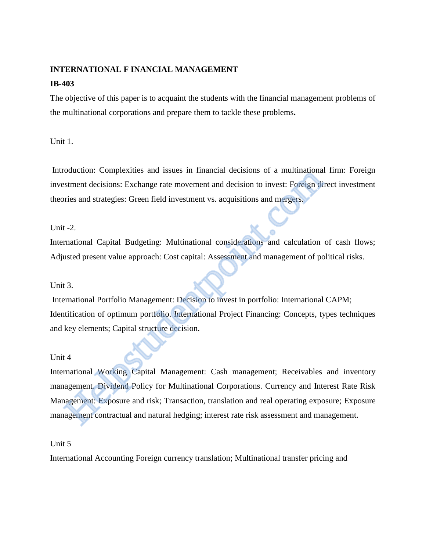# **INTERNATIONAL F INANCIAL MANAGEMENT**

# **IB-403**

The objective of this paper is to acquaint the students with the financial management problems of the multinational corporations and prepare them to tackle these problems**.**

Unit 1.

Introduction: Complexities and issues in financial decisions of a multinational firm: Foreign investment decisions: Exchange rate movement and decision to invest: Foreign direct investment theories and strategies: Green field investment vs. acquisitions and mergers.

# Unit  $-2$ .

International Capital Budgeting: Multinational considerations and calculation of cash flows; Adjusted present value approach: Cost capital: Assessment and management of political risks.

# Unit 3.

International Portfolio Management: Decision to invest in portfolio: International CAPM; Identification of optimum portfolio. International Project Financing: Concepts, types techniques and key elements; Capital structure decision.

# Unit 4

International Working Capital Management: Cash management; Receivables and inventory management. Dividend Policy for Multinational Corporations. Currency and Interest Rate Risk Management: Exposure and risk; Transaction, translation and real operating exposure; Exposure management contractual and natural hedging; interest rate risk assessment and management. Francisco Conduction. Complexities and issues in miniatian decisions of a minimiational<br>stiment decisions: Exchange rate movement and decision to invest: Foreign divires and strategies: Green field investment vs. acquisiti

# Unit 5

International Accounting Foreign currency translation; Multinational transfer pricing and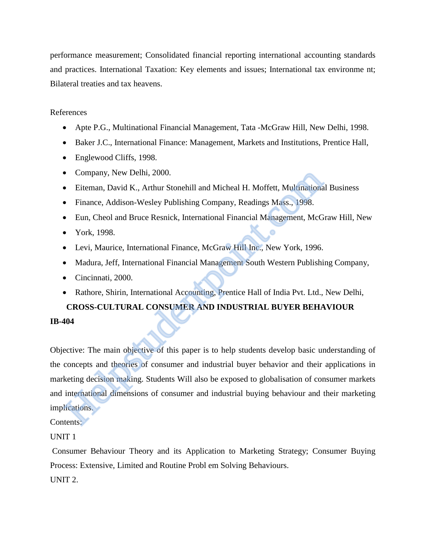performance measurement; Consolidated financial reporting international accounting standards and practices. International Taxation: Key elements and issues; International tax environme nt; Bilateral treaties and tax heavens.

# References

- Apte P.G., Multinational Financial Management, Tata -McGraw Hill, New Delhi, 1998.
- Baker J.C., International Finance: Management, Markets and Institutions, Prentice Hall,
- Englewood Cliffs, 1998.
- Company, New Delhi, 2000.
- Eiteman, David K., Arthur Stonehill and Micheal H. Moffett, Multinational Business
- Finance, Addison-Wesley Publishing Company, Readings Mass., 1998.
- Eun, Cheol and Bruce Resnick, International Financial Management, McGraw Hill, New
- York, 1998.
- Levi, Maurice, International Finance, McGraw Hill Inc., New York, 1996.
- Madura, Jeff, International Financial Management South Western Publishing Company,
- Cincinnati, 2000.
- Rathore, Shirin, International Accounting, Prentice Hall of India Pvt. Ltd., New Delhi,

# **CROSS-CULTURAL CONSUMER AND INDUSTRIAL BUYER BEHAVIOUR**

### **IB-404**

Objective: The main objective of this paper is to help students develop basic understanding of the concepts and theories of consumer and industrial buyer behavior and their applications in marketing decision making. Students Will also be exposed to globalisation of consumer markets and international dimensions of consumer and industrial buying behaviour and their marketing implications. • Company, New Delhi, 2000.<br>• Eiteman, David K., Arthur Stonehill and Micheal H. Moffett, Multinationa<br>• Finance, Addison-Wesley Publishing Company, Readings Mass., 1998.<br>• Eun, Cheol and Bruce Resnick, International Finan

Contents:

# UNIT 1

Consumer Behaviour Theory and its Application to Marketing Strategy; Consumer Buying Process: Extensive, Limited and Routine Probl em Solving Behaviours.

UNIT 2.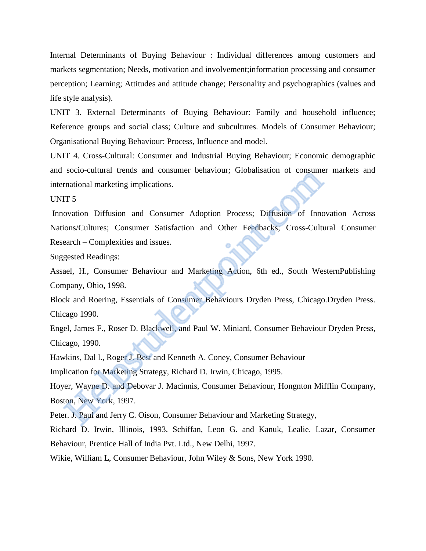Internal Determinants of Buying Behaviour : Individual differences among customers and markets segmentation; Needs, motivation and involvement;information processing and consumer perception; Learning; Attitudes and attitude change; Personality and psychographics (values and life style analysis).

UNIT 3. External Determinants of Buying Behaviour: Family and household influence; Reference groups and social class; Culture and subcultures. Models of Consumer Behaviour; Organisational Buying Behaviour: Process, Influence and model.

UNIT 4. Cross-Cultural: Consumer and Industrial Buying Behaviour; Economic demographic and socio-cultural trends and consumer behaviour; Globalisation of consumer markets and international marketing implications.

UNIT 5

Innovation Diffusion and Consumer Adoption Process; Diffusion of Innovation Across Nations/Cultures; Consumer Satisfaction and Other Feedbacks; Cross-Cultural Consumer Research – Complexities and issues. socio-cuntrial tentos and consumer benaviour, Grobansation of consume<br>mational marketing implications.<br>The Sovation Diffusion and Consumer Adoption Process: Diffusion of Inne<br>oions/Cultures; Consumer Satisfaction and Other

Suggested Readings:

Assael, H., Consumer Behaviour and Marketing Action, 6th ed., South WesternPublishing Company, Ohio, 1998.

Block and Roering, Essentials of Consumer Behaviours Dryden Press, Chicago.Dryden Press. Chicago 1990.

Engel, James F., Roser D. Blackwell, and Paul W. Miniard, Consumer Behaviour Dryden Press, Chicago, 1990.

Hawkins, Dal l., Roger J. Best and Kenneth A. Coney, Consumer Behaviour

Implication for Marketing Strategy, Richard D. Irwin, Chicago, 1995.

Hoyer, Wayne D. and Debovar J. Macinnis, Consumer Behaviour, Hongnton Mifflin Company, Boston, New York, 1997.

Peter. J. Paul and Jerry C. Oison, Consumer Behaviour and Marketing Strategy,

Richard D. Irwin, Illinois, 1993. Schiffan, Leon G. and Kanuk, Lealie. Lazar, Consumer Behaviour, Prentice Hall of India Pvt. Ltd., New Delhi, 1997.

Wikie, William L, Consumer Behaviour, John Wiley & Sons, New York 1990.